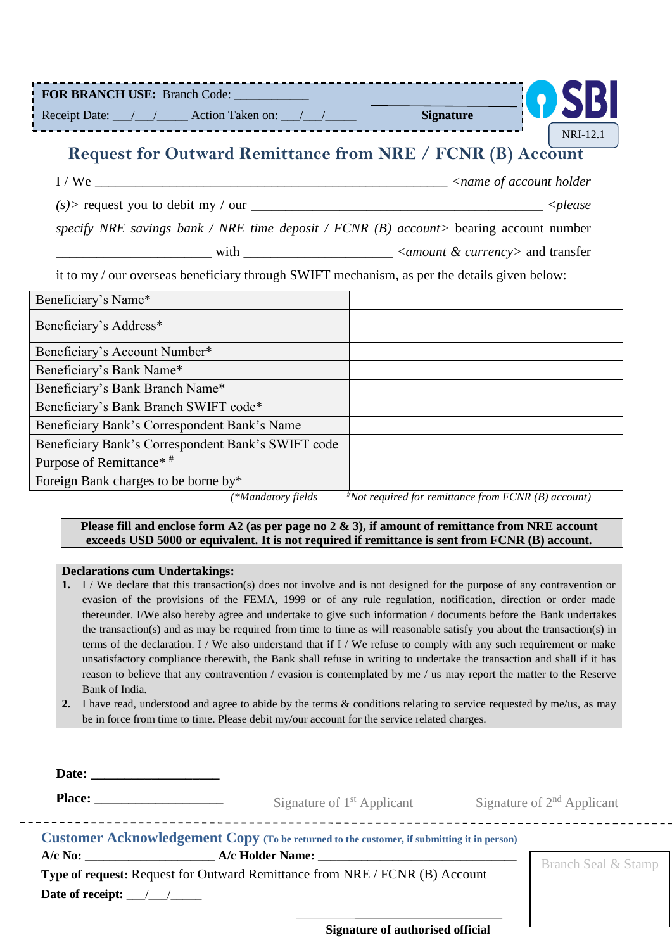| FOR BRANCH USE: Branch Code:                                                                 |                                                        |          |
|----------------------------------------------------------------------------------------------|--------------------------------------------------------|----------|
|                                                                                              |                                                        |          |
| Request for Outward Remittance from NRE / FCNR (B) Account                                   |                                                        | NRI-12.1 |
|                                                                                              |                                                        |          |
|                                                                                              |                                                        |          |
| specify NRE savings bank / NRE time deposit / FCNR (B) account> bearing account number       |                                                        |          |
|                                                                                              |                                                        |          |
| it to my / our overseas beneficiary through SWIFT mechanism, as per the details given below: |                                                        |          |
| Beneficiary's Name*                                                                          |                                                        |          |
| Beneficiary's Address*                                                                       |                                                        |          |
| Beneficiary's Account Number*                                                                |                                                        |          |
| Beneficiary's Bank Name*                                                                     |                                                        |          |
| Beneficiary's Bank Branch Name*                                                              |                                                        |          |
| Beneficiary's Bank Branch SWIFT code*                                                        |                                                        |          |
| Beneficiary Bank's Correspondent Bank's Name                                                 |                                                        |          |
| Beneficiary Bank's Correspondent Bank's SWIFT code                                           |                                                        |          |
| Purpose of Remittance* #                                                                     |                                                        |          |
| Foreign Bank charges to be borne by*                                                         |                                                        |          |
| (*Mandatory fields                                                                           | $*$ Not required for remittance from FCNR (B) account) |          |

#### **Please fill and enclose form A2 (as per page no 2 & 3), if amount of remittance from NRE account exceeds USD 5000 or equivalent. It is not required if remittance is sent from FCNR (B) account.**

#### **Declarations cum Undertakings:**

- **1.** I / We declare that this transaction(s) does not involve and is not designed for the purpose of any contravention or evasion of the provisions of the FEMA, 1999 or of any rule regulation, notification, direction or order made thereunder. I/We also hereby agree and undertake to give such information / documents before the Bank undertakes the transaction(s) and as may be required from time to time as will reasonable satisfy you about the transaction(s) in terms of the declaration. I / We also understand that if I / We refuse to comply with any such requirement or make unsatisfactory compliance therewith, the Bank shall refuse in writing to undertake the transaction and shall if it has reason to believe that any contravention / evasion is contemplated by me / us may report the matter to the Reserve Bank of India.
- **2.** I have read, understood and agree to abide by the terms & conditions relating to service requested by me/us, as may be in force from time to time. Please debit my/our account for the service related charges.

 $\overline{\Gamma}$ 

| <b>Place:</b> The contract of the contract of the contract of the contract of the contract of the contract of the contract of the contract of the contract of the contract of the contract of the contract of the contract of the c | Signature of $1st$ Applicant |  | Signature of $2nd$ Applicant   |  |
|-------------------------------------------------------------------------------------------------------------------------------------------------------------------------------------------------------------------------------------|------------------------------|--|--------------------------------|--|
| <b>Customer Acknowledgement Copy</b> (To be returned to the customer, if submitting it in person)<br>A/c No: <b>A/c Holder Name:</b>                                                                                                |                              |  |                                |  |
|                                                                                                                                                                                                                                     |                              |  | <b>Branch Seal &amp; Stamp</b> |  |
| <b>Type of request:</b> Request for Outward Remittance from NRE / FCNR (B) Account                                                                                                                                                  |                              |  |                                |  |
| Date of receipt: $\angle$                                                                                                                                                                                                           |                              |  |                                |  |
|                                                                                                                                                                                                                                     |                              |  |                                |  |

**Signature of authorised official**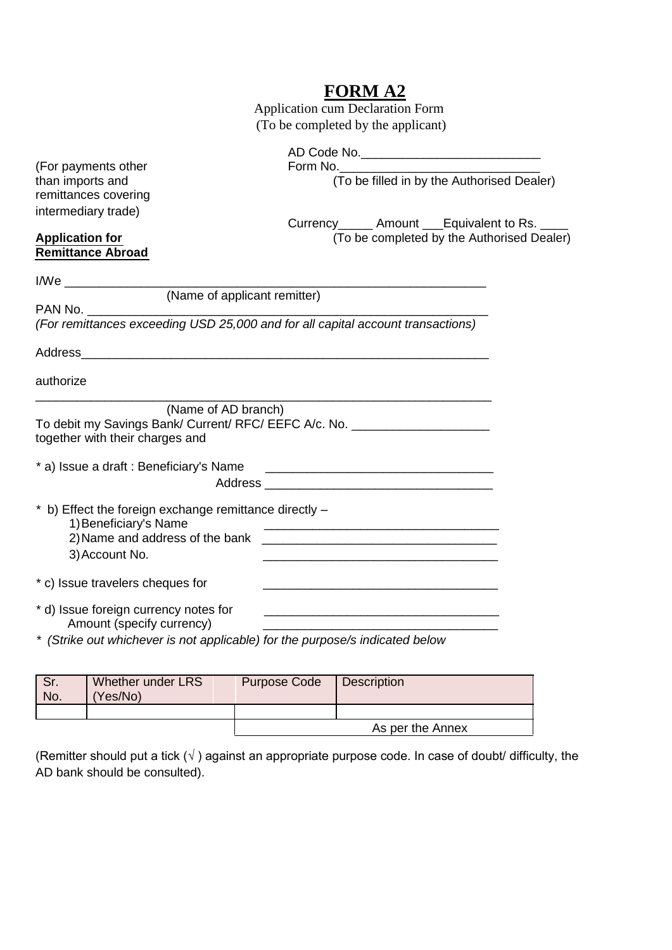## **FORM A2**

 Application cum Declaration Form (To be completed by the applicant)

| (For payments other<br>than imports and<br>remittances covering<br>intermediary trade)                                                             | Form No.<br>(To be filled in by the Authorised Dealer)                                                               |
|----------------------------------------------------------------------------------------------------------------------------------------------------|----------------------------------------------------------------------------------------------------------------------|
| <b>Application for</b><br><b>Remittance Abroad</b>                                                                                                 | Currency _______ Amount ____Equivalent to Rs. _____<br>(To be completed by the Authorised Dealer)                    |
| <b>I/We</b>                                                                                                                                        |                                                                                                                      |
| (Name of applicant remitter)<br>PAN No.                                                                                                            |                                                                                                                      |
| (For remittances exceeding USD 25,000 and for all capital account transactions)                                                                    |                                                                                                                      |
|                                                                                                                                                    |                                                                                                                      |
| authorize                                                                                                                                          |                                                                                                                      |
| (Name of AD branch)<br>To debit my Savings Bank/ Current/ RFC/ EEFC A/c. No. [100] 2010 2020<br>together with their charges and                    |                                                                                                                      |
| * a) Issue a draft : Beneficiary's Name                                                                                                            | <u> Alexandro de la contrada de la contrada de la contrada de la contrada de la contrada de la contrada de la co</u> |
| * b) Effect the foreign exchange remittance directly -<br>1) Beneficiary's Name<br>3) Account No.                                                  | <u> 1989 - Johann Barbara, margaret eta idazlearia (h. 1989).</u>                                                    |
| * c) Issue travelers cheques for                                                                                                                   |                                                                                                                      |
| * d) Issue foreign currency notes for<br>Amount (specify currency)<br>* (Strike out whichever is not applicable) for the purpose/s indicated below |                                                                                                                      |

| Sr.<br>No. | Whether under LRS<br>(Yes/No) | <b>Purpose Code</b> | <b>Description</b> |
|------------|-------------------------------|---------------------|--------------------|
|            |                               |                     |                    |
|            |                               |                     | As per the Annex   |

(Remitter should put a tick  $(\sqrt{})$  against an appropriate purpose code. In case of doubt/ difficulty, the AD bank should be consulted).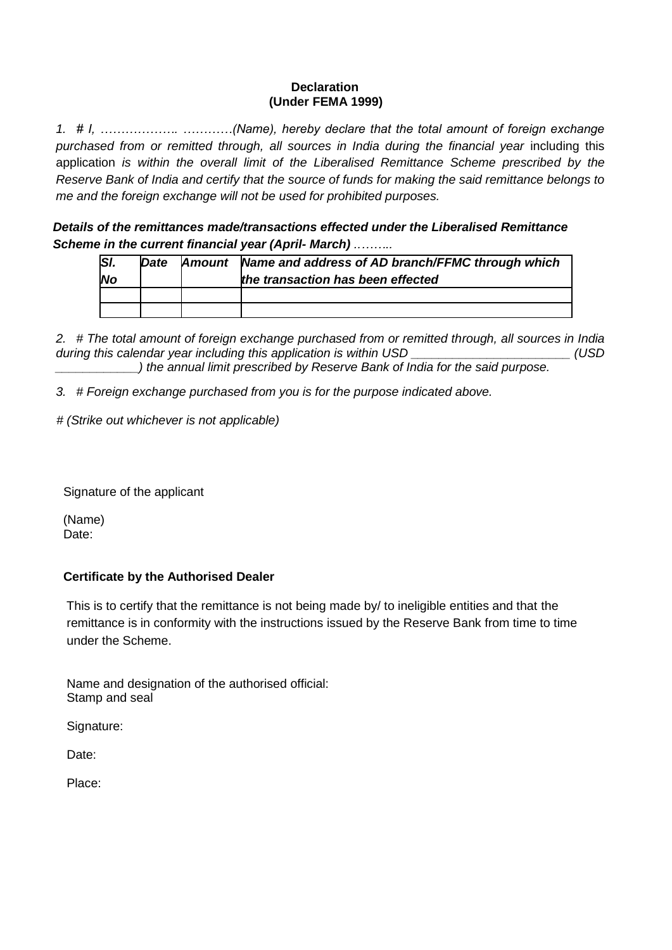#### **Declaration (Under FEMA 1999)**

*1. # I, ………………. …………(Name), hereby declare that the total amount of foreign exchange*  purchased from or remitted through, all sources in India during the financial year including this application *is within the overall limit of the Liberalised Remittance Scheme prescribed by the Reserve Bank of India and certify that the source of funds for making the said remittance belongs to me and the foreign exchange will not be used for prohibited purposes.*

 *Details of the remittances made/transactions effected under the Liberalised Remittance Scheme in the current financial year (April- March) ..……..*

| $\overline{SI}$ | Date | Amount Name and address of AD branch/FFMC through which |
|-----------------|------|---------------------------------------------------------|
| <b>No</b>       |      | the transaction has been effected                       |
|                 |      |                                                         |
|                 |      |                                                         |

*2. # The total amount of foreign exchange purchased from or remitted through, all sources in India*  during this calendar year including this application is within USD *USD (USD <i>USD \_\_\_\_\_\_\_\_\_\_\_\_) the annual limit prescribed by Reserve Bank of India for the said purpose.*

*3. # Foreign exchange purchased from you is for the purpose indicated above.*

 *# (Strike out whichever is not applicable)*

Signature of the applicant

 (Name) Date:

### **Certificate by the Authorised Dealer**

 This is to certify that the remittance is not being made by/ to ineligible entities and that the remittance is in conformity with the instructions issued by the Reserve Bank from time to time under the Scheme.

 Name and designation of the authorised official: Stamp and seal

Signature:

Date:

Place: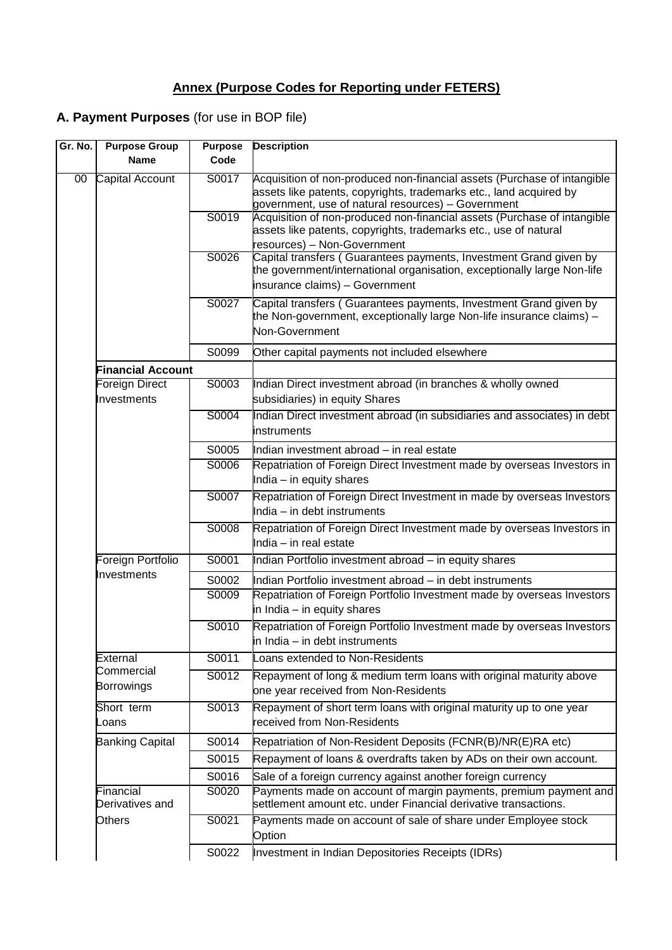# **Annex (Purpose Codes for Reporting under FETERS)**

### **A. Payment Purposes** (for use in BOP file)

| Gr. No. | <b>Purpose Group</b>             | <b>Purpose</b> | <b>Description</b>                                                                                                                                                                                   |
|---------|----------------------------------|----------------|------------------------------------------------------------------------------------------------------------------------------------------------------------------------------------------------------|
|         | <b>Name</b>                      | Code           |                                                                                                                                                                                                      |
| 00      | Capital Account                  | S0017          | Acquisition of non-produced non-financial assets (Purchase of intangible<br>assets like patents, copyrights, trademarks etc., land acquired by<br>government, use of natural resources) - Government |
|         |                                  | S0019          | Acquisition of non-produced non-financial assets (Purchase of intangible<br>assets like patents, copyrights, trademarks etc., use of natural<br>resources) - Non-Government                          |
|         |                                  | S0026          | Capital transfers (Guarantees payments, Investment Grand given by<br>the government/international organisation, exceptionally large Non-life<br>insurance claims) - Government                       |
|         |                                  | S0027          | Capital transfers (Guarantees payments, Investment Grand given by<br>the Non-government, exceptionally large Non-life insurance claims) -<br>Non-Government                                          |
|         |                                  | S0099          | Other capital payments not included elsewhere                                                                                                                                                        |
|         | <b>Financial Account</b>         |                |                                                                                                                                                                                                      |
|         | Foreign Direct<br>Investments    | S0003          | Indian Direct investment abroad (in branches & wholly owned<br>subsidiaries) in equity Shares                                                                                                        |
|         |                                  | S0004          | Indian Direct investment abroad (in subsidiaries and associates) in debt<br>instruments                                                                                                              |
|         |                                  | S0005          | Indian investment abroad - in real estate                                                                                                                                                            |
|         |                                  | S0006          | Repatriation of Foreign Direct Investment made by overseas Investors in<br>India - in equity shares                                                                                                  |
|         |                                  | S0007          | Repatriation of Foreign Direct Investment in made by overseas Investors<br>India - in debt instruments                                                                                               |
|         |                                  | S0008          | Repatriation of Foreign Direct Investment made by overseas Investors in<br>India - in real estate                                                                                                    |
|         | Foreign Portfolio<br>Investments | S0001          | Indian Portfolio investment abroad - in equity shares                                                                                                                                                |
|         |                                  | S0002          | Indian Portfolio investment abroad - in debt instruments                                                                                                                                             |
|         |                                  | S0009          | Repatriation of Foreign Portfolio Investment made by overseas Investors<br>in India - in equity shares                                                                                               |
|         |                                  | S0010          | Repatriation of Foreign Portfolio Investment made by overseas Investors<br>in India - in debt instruments                                                                                            |
|         | External                         | S0011          | Loans extended to Non-Residents                                                                                                                                                                      |
|         | Commercial<br><b>Borrowings</b>  | S0012          | Repayment of long & medium term loans with original maturity above<br>one year received from Non-Residents                                                                                           |
|         | Short term<br>Loans              | S0013          | Repayment of short term loans with original maturity up to one year<br>received from Non-Residents                                                                                                   |
|         | <b>Banking Capital</b>           | S0014          | Repatriation of Non-Resident Deposits (FCNR(B)/NR(E)RA etc)                                                                                                                                          |
|         |                                  | S0015          | Repayment of loans & overdrafts taken by ADs on their own account.                                                                                                                                   |
|         |                                  | S0016          | Sale of a foreign currency against another foreign currency                                                                                                                                          |
|         | Financial<br>Derivatives and     | S0020          | Payments made on account of margin payments, premium payment and<br>settlement amount etc. under Financial derivative transactions.                                                                  |
|         | Others                           | S0021          | Payments made on account of sale of share under Employee stock<br>Option                                                                                                                             |
|         |                                  | S0022          | Investment in Indian Depositories Receipts (IDRs)                                                                                                                                                    |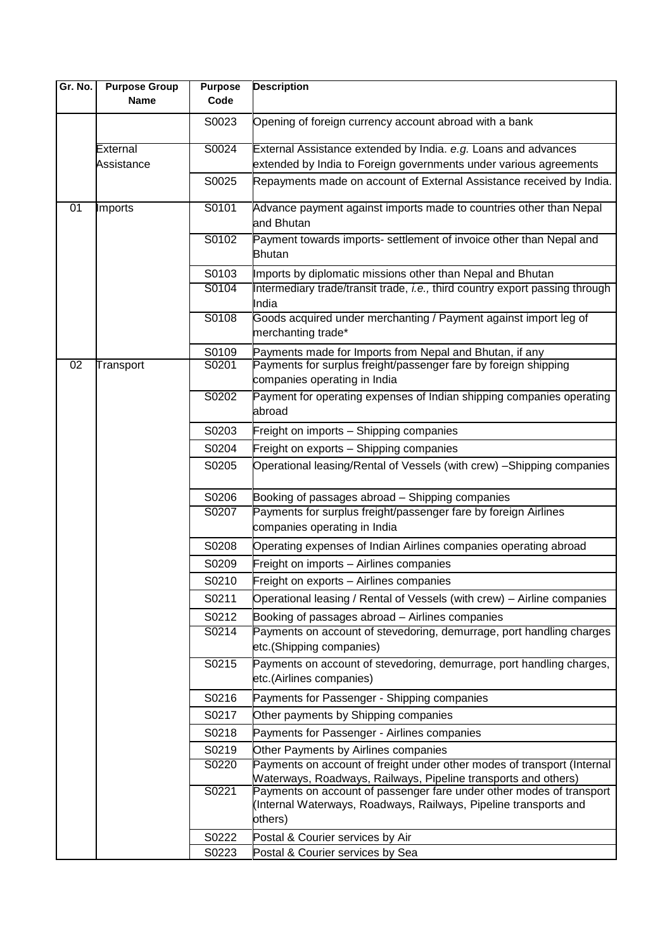| Gr. No.         | <b>Purpose Group</b><br><b>Name</b> | <b>Purpose</b><br>Code | <b>Description</b>                                                                                                                       |
|-----------------|-------------------------------------|------------------------|------------------------------------------------------------------------------------------------------------------------------------------|
|                 |                                     |                        |                                                                                                                                          |
|                 |                                     | S0023                  | Opening of foreign currency account abroad with a bank                                                                                   |
|                 | External                            | S0024                  | External Assistance extended by India. e.g. Loans and advances                                                                           |
|                 | Assistance                          |                        | extended by India to Foreign governments under various agreements                                                                        |
|                 |                                     | S0025                  | Repayments made on account of External Assistance received by India.                                                                     |
| $\overline{01}$ | <b>Imports</b>                      | S0101                  | Advance payment against imports made to countries other than Nepal<br>and Bhutan                                                         |
|                 |                                     | S0102                  | Payment towards imports- settlement of invoice other than Nepal and                                                                      |
|                 |                                     |                        | <b>Bhutan</b>                                                                                                                            |
|                 |                                     | S0103                  | Imports by diplomatic missions other than Nepal and Bhutan                                                                               |
|                 |                                     | S0104                  | Intermediary trade/transit trade, i.e., third country export passing through<br>India                                                    |
|                 |                                     | S0108                  | Goods acquired under merchanting / Payment against import leg of<br>merchanting trade*                                                   |
|                 |                                     | S0109                  | Payments made for Imports from Nepal and Bhutan, if any                                                                                  |
| 02              | Transport                           | S0201                  | Payments for surplus freight/passenger fare by foreign shipping                                                                          |
|                 |                                     |                        | companies operating in India                                                                                                             |
|                 |                                     | S0202                  | Payment for operating expenses of Indian shipping companies operating<br>abroad                                                          |
|                 |                                     | S0203                  | Freight on imports - Shipping companies                                                                                                  |
|                 |                                     | S0204                  | Freight on exports - Shipping companies                                                                                                  |
|                 |                                     | S0205                  | Operational leasing/Rental of Vessels (with crew) - Shipping companies                                                                   |
|                 |                                     | S0206                  | Booking of passages abroad - Shipping companies                                                                                          |
|                 |                                     | S0207                  | Payments for surplus freight/passenger fare by foreign Airlines                                                                          |
|                 |                                     |                        | companies operating in India                                                                                                             |
|                 |                                     | S0208                  | Operating expenses of Indian Airlines companies operating abroad                                                                         |
|                 |                                     | S0209                  | Freight on imports - Airlines companies                                                                                                  |
|                 |                                     | S0210                  | Freight on exports - Airlines companies                                                                                                  |
|                 |                                     | S0211                  | Operational leasing / Rental of Vessels (with crew) - Airline companies                                                                  |
|                 |                                     | S0212                  | Booking of passages abroad - Airlines companies                                                                                          |
|                 |                                     | S0214                  | Payments on account of stevedoring, demurrage, port handling charges                                                                     |
|                 |                                     |                        | etc.(Shipping companies)                                                                                                                 |
|                 |                                     | S0215                  | Payments on account of stevedoring, demurrage, port handling charges,                                                                    |
|                 |                                     |                        | etc.(Airlines companies)                                                                                                                 |
|                 |                                     | S0216                  | Payments for Passenger - Shipping companies                                                                                              |
|                 |                                     | S0217                  | Other payments by Shipping companies                                                                                                     |
|                 |                                     | S0218                  | Payments for Passenger - Airlines companies                                                                                              |
|                 |                                     | S0219                  | Other Payments by Airlines companies                                                                                                     |
|                 |                                     | S0220                  | Payments on account of freight under other modes of transport (Internal                                                                  |
|                 |                                     |                        | Waterways, Roadways, Railways, Pipeline transports and others)                                                                           |
|                 |                                     | S0221                  | Payments on account of passenger fare under other modes of transport<br>(Internal Waterways, Roadways, Railways, Pipeline transports and |
|                 |                                     |                        | others)                                                                                                                                  |
|                 |                                     | S0222                  | Postal & Courier services by Air                                                                                                         |
|                 |                                     | S0223                  | Postal & Courier services by Sea                                                                                                         |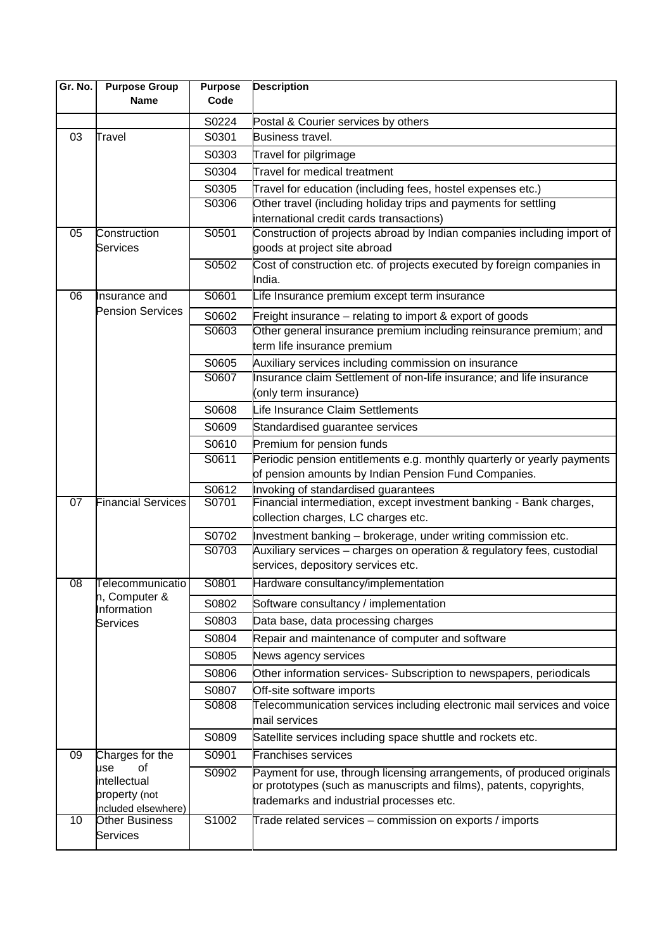| Gr. No.         | <b>Purpose Group</b><br><b>Name</b> | <b>Purpose</b><br>Code | <b>Description</b>                                                                                                                      |
|-----------------|-------------------------------------|------------------------|-----------------------------------------------------------------------------------------------------------------------------------------|
|                 |                                     |                        |                                                                                                                                         |
|                 |                                     | S0224                  | Postal & Courier services by others                                                                                                     |
| 03              | Travel                              | S0301                  | <b>Business travel.</b>                                                                                                                 |
|                 |                                     | S0303                  | Travel for pilgrimage                                                                                                                   |
|                 |                                     | S0304                  | Travel for medical treatment                                                                                                            |
|                 |                                     | S0305                  | Travel for education (including fees, hostel expenses etc.)                                                                             |
|                 |                                     | S0306                  | Other travel (including holiday trips and payments for settling                                                                         |
|                 |                                     |                        | international credit cards transactions)                                                                                                |
| 05              | Construction<br>Services            | S0501                  | Construction of projects abroad by Indian companies including import of<br>goods at project site abroad                                 |
|                 |                                     | S0502                  |                                                                                                                                         |
|                 |                                     |                        | Cost of construction etc. of projects executed by foreign companies in<br>India.                                                        |
| 06              | nsurance and                        | S0601                  | Life Insurance premium except term insurance                                                                                            |
|                 | <b>Pension Services</b>             |                        |                                                                                                                                         |
|                 |                                     | S0602<br>S0603         | Freight insurance – relating to import & export of goods<br>Other general insurance premium including reinsurance premium; and          |
|                 |                                     |                        | term life insurance premium                                                                                                             |
|                 |                                     | S0605                  | Auxiliary services including commission on insurance                                                                                    |
|                 |                                     | S0607                  | Insurance claim Settlement of non-life insurance; and life insurance                                                                    |
|                 |                                     |                        | (only term insurance)                                                                                                                   |
|                 |                                     | S0608                  | Life Insurance Claim Settlements                                                                                                        |
|                 |                                     | S0609                  | Standardised guarantee services                                                                                                         |
|                 |                                     | S0610                  | Premium for pension funds                                                                                                               |
|                 |                                     | S0611                  | Periodic pension entitlements e.g. monthly quarterly or yearly payments                                                                 |
|                 |                                     |                        | of pension amounts by Indian Pension Fund Companies.                                                                                    |
|                 |                                     | S0612                  | Invoking of standardised guarantees                                                                                                     |
| $\overline{07}$ | <b>Financial Services</b>           | S0701                  | Financial intermediation, except investment banking - Bank charges,<br>collection charges, LC charges etc.                              |
|                 |                                     |                        |                                                                                                                                         |
|                 |                                     | S0702<br>S0703         | Investment banking - brokerage, under writing commission etc.<br>Auxiliary services - charges on operation & regulatory fees, custodial |
|                 |                                     |                        | services, depository services etc.                                                                                                      |
| $\overline{08}$ | Telecommunicatio                    | S0801                  | Hardware consultancy/implementation                                                                                                     |
|                 | n, Computer &                       | S0802                  | Software consultancy / implementation                                                                                                   |
|                 | Information<br><b>Services</b>      | S0803                  | Data base, data processing charges                                                                                                      |
|                 |                                     | S0804                  | Repair and maintenance of computer and software                                                                                         |
|                 |                                     | S0805                  | News agency services                                                                                                                    |
|                 |                                     | S0806                  | Other information services- Subscription to newspapers, periodicals                                                                     |
|                 |                                     | S0807                  | Off-site software imports                                                                                                               |
|                 |                                     | S0808                  | Telecommunication services including electronic mail services and voice                                                                 |
|                 |                                     |                        | mail services                                                                                                                           |
|                 |                                     | S0809                  | Satellite services including space shuttle and rockets etc.                                                                             |
| 09              | Charges for the                     | S0901                  | Franchises services                                                                                                                     |
|                 | οf<br>use<br>intellectual           | S0902                  | Payment for use, through licensing arrangements, of produced originals                                                                  |
|                 | property (not                       |                        | or prototypes (such as manuscripts and films), patents, copyrights,                                                                     |
|                 | included elsewhere)                 |                        | trademarks and industrial processes etc.                                                                                                |
| 10              | <b>Other Business</b>               | S1002                  | Trade related services - commission on exports / imports                                                                                |
|                 | Services                            |                        |                                                                                                                                         |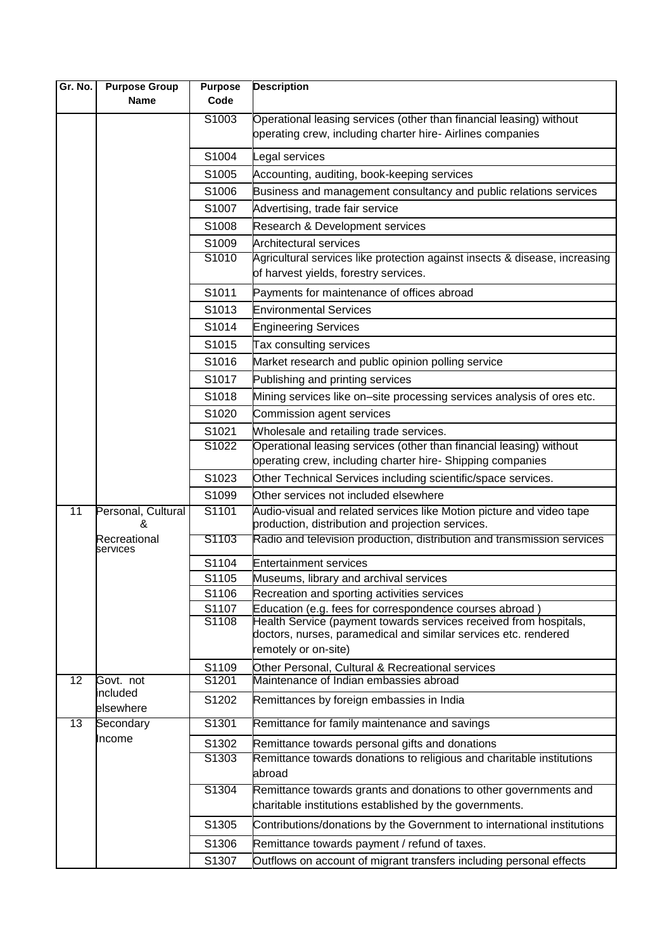| Gr. No.         | <b>Purpose Group</b>     | <b>Purpose</b>    | <b>Description</b>                                                                                                                   |
|-----------------|--------------------------|-------------------|--------------------------------------------------------------------------------------------------------------------------------------|
|                 | <b>Name</b>              | Code              |                                                                                                                                      |
|                 |                          | S1003             | Operational leasing services (other than financial leasing) without                                                                  |
|                 |                          |                   | operating crew, including charter hire- Airlines companies                                                                           |
|                 |                          | S1004             | Legal services                                                                                                                       |
|                 |                          | S1005             | Accounting, auditing, book-keeping services                                                                                          |
|                 |                          | S1006             | Business and management consultancy and public relations services                                                                    |
|                 |                          | S1007             | Advertising, trade fair service                                                                                                      |
|                 |                          | S1008             | Research & Development services                                                                                                      |
|                 |                          | S1009             | <b>Architectural services</b>                                                                                                        |
|                 |                          | S1010             | Agricultural services like protection against insects & disease, increasing<br>of harvest yields, forestry services.                 |
|                 |                          | S1011             | Payments for maintenance of offices abroad                                                                                           |
|                 |                          | S1013             | <b>Environmental Services</b>                                                                                                        |
|                 |                          | S1014             | <b>Engineering Services</b>                                                                                                          |
|                 |                          | S1015             | Tax consulting services                                                                                                              |
|                 |                          | S1016             | Market research and public opinion polling service                                                                                   |
|                 |                          | S1017             | Publishing and printing services                                                                                                     |
|                 |                          | S1018             | Mining services like on-site processing services analysis of ores etc.                                                               |
|                 |                          | S1020             | Commission agent services                                                                                                            |
|                 |                          | S1021             | Wholesale and retailing trade services.                                                                                              |
|                 |                          | S1022             | Operational leasing services (other than financial leasing) without                                                                  |
|                 |                          |                   | operating crew, including charter hire- Shipping companies                                                                           |
|                 |                          | S1023             | Other Technical Services including scientific/space services.                                                                        |
|                 |                          | S1099             | Other services not included elsewhere                                                                                                |
| $\overline{11}$ | Personal, Cultural<br>&  | S1101             | Audio-visual and related services like Motion picture and video tape<br>production, distribution and projection services.            |
|                 | Recreational<br>services | S <sub>1103</sub> | Radio and television production, distribution and transmission services                                                              |
|                 |                          | S1104             | <b>Entertainment services</b>                                                                                                        |
|                 |                          | S1105             | Museums, library and archival services                                                                                               |
|                 |                          | S1106             | Recreation and sporting activities services                                                                                          |
|                 |                          | S1107             | Education (e.g. fees for correspondence courses abroad)                                                                              |
|                 |                          | S1108             | Health Service (payment towards services received from hospitals,<br>doctors, nurses, paramedical and similar services etc. rendered |
|                 |                          |                   | remotely or on-site)                                                                                                                 |
|                 |                          | S1109             | Other Personal, Cultural & Recreational services                                                                                     |
| 12              | Govt. not                | S1201             | Maintenance of Indian embassies abroad                                                                                               |
|                 | included<br>elsewhere    | S1202             | Remittances by foreign embassies in India                                                                                            |
| 13              | Secondary                | S1301             | Remittance for family maintenance and savings                                                                                        |
|                 | Income                   | S1302             | Remittance towards personal gifts and donations                                                                                      |
|                 |                          | S1303             | Remittance towards donations to religious and charitable institutions<br>abroad                                                      |
|                 |                          | S1304             | Remittance towards grants and donations to other governments and                                                                     |
|                 |                          |                   | charitable institutions established by the governments.                                                                              |
|                 |                          | S1305             | Contributions/donations by the Government to international institutions                                                              |
|                 |                          | S1306             | Remittance towards payment / refund of taxes.                                                                                        |
|                 |                          | S1307             | Outflows on account of migrant transfers including personal effects                                                                  |